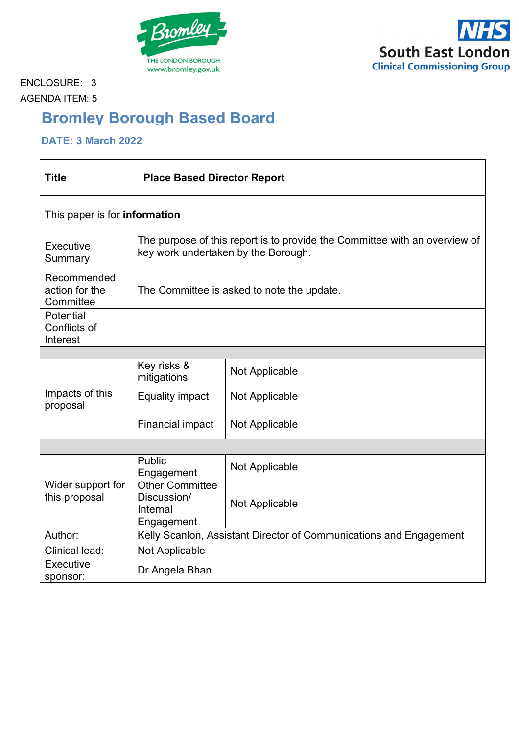



ENCLOSURE: 3 AGENDA ITEM: 5

# **Bromley Borough Based Board**

## **DATE: 3 March 2022**

| <b>Title</b>                               | <b>Place Based Director Report</b>                                                                                |                       |
|--------------------------------------------|-------------------------------------------------------------------------------------------------------------------|-----------------------|
| This paper is for <b>information</b>       |                                                                                                                   |                       |
| Executive<br>Summary                       | The purpose of this report is to provide the Committee with an overview of<br>key work undertaken by the Borough. |                       |
| Recommended<br>action for the<br>Committee | The Committee is asked to note the update.                                                                        |                       |
| Potential<br>Conflicts of<br>Interest      |                                                                                                                   |                       |
|                                            |                                                                                                                   |                       |
| Impacts of this<br>proposal                | Key risks &<br>mitigations                                                                                        | <b>Not Applicable</b> |
|                                            | <b>Equality impact</b>                                                                                            | Not Applicable        |
|                                            | <b>Financial impact</b>                                                                                           | Not Applicable        |
|                                            |                                                                                                                   |                       |
|                                            | <b>Public</b><br>Engagement                                                                                       | Not Applicable        |
| Wider support for<br>this proposal         | <b>Other Committee</b><br>Discussion/<br>Internal<br>Engagement                                                   | <b>Not Applicable</b> |
| Author:                                    | Kelly Scanlon, Assistant Director of Communications and Engagement                                                |                       |
| <b>Clinical lead:</b>                      | Not Applicable                                                                                                    |                       |
| Executive<br>sponsor:                      | Dr Angela Bhan                                                                                                    |                       |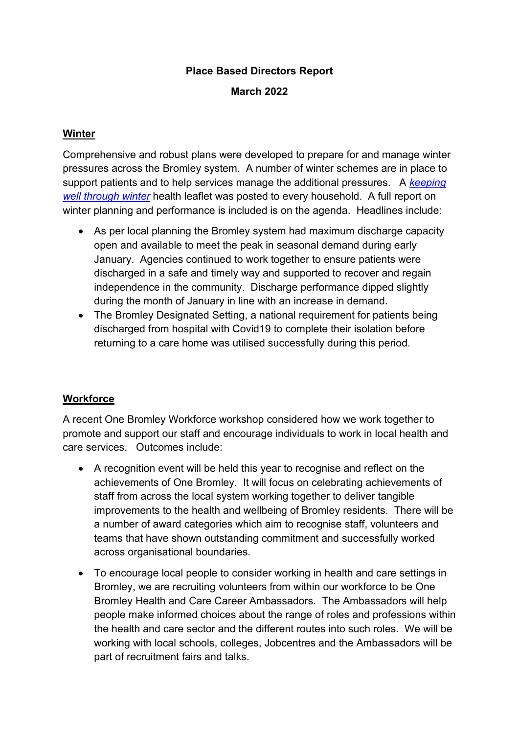#### **Place Based Directors Report**

#### **March 2022**

#### **Winter**

Comprehensive and robust plans were developed to prepare for and manage winter pressures across the Bromley system. A number of winter schemes are in place to support patients and to help services manage the additional pressures. A *[keeping](https://selondonccg.nhs.uk/wp-content/uploads/2021/11/Bromley-Winter-Campaign-Leaflet-2021.pdf)  [well through winter](https://selondonccg.nhs.uk/wp-content/uploads/2021/11/Bromley-Winter-Campaign-Leaflet-2021.pdf)* health leaflet was posted to every household. A full report on winter planning and performance is included is on the agenda. Headlines include:

- As per local planning the Bromley system had maximum discharge capacity open and available to meet the peak in seasonal demand during early January. Agencies continued to work together to ensure patients were discharged in a safe and timely way and supported to recover and regain independence in the community. Discharge performance dipped slightly during the month of January in line with an increase in demand.
- The Bromley Designated Setting, a national requirement for patients being discharged from hospital with Covid19 to complete their isolation before returning to a care home was utilised successfully during this period.

#### **Workforce**

A recent One Bromley Workforce workshop considered how we work together to promote and support our staff and encourage individuals to work in local health and care services. Outcomes include:

- A recognition event will be held this year to recognise and reflect on the achievements of One Bromley. It will focus on celebrating achievements of staff from across the local system working together to deliver tangible improvements to the health and wellbeing of Bromley residents. There will be a number of award categories which aim to recognise staff, volunteers and teams that have shown outstanding commitment and successfully worked across organisational boundaries.
- To encourage local people to consider working in health and care settings in Bromley, we are recruiting volunteers from within our workforce to be One Bromley Health and Care Career Ambassadors. The Ambassadors will help people make informed choices about the range of roles and professions within the health and care sector and the different routes into such roles. We will be working with local schools, colleges, Jobcentres and the Ambassadors will be part of recruitment fairs and talks.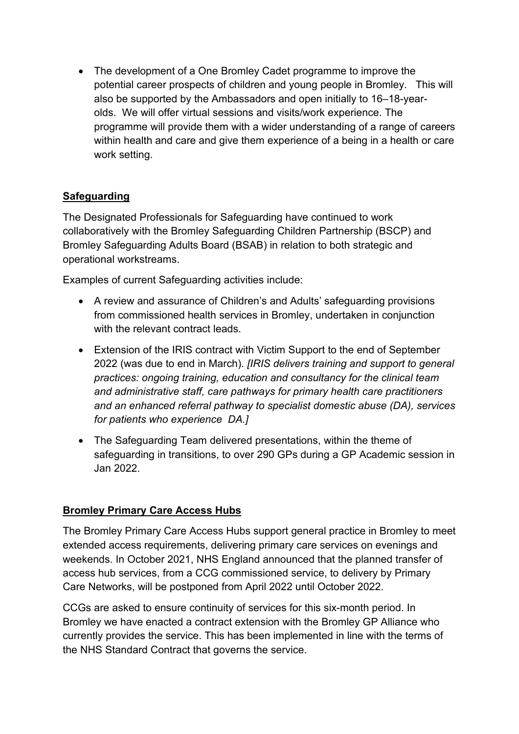• The development of a One Bromley Cadet programme to improve the potential career prospects of children and young people in Bromley. This will also be supported by the Ambassadors and open initially to 16–18-yearolds. We will offer virtual sessions and visits/work experience. The programme will provide them with a wider understanding of a range of careers within health and care and give them experience of a being in a health or care work setting.

## **Safeguarding**

The Designated Professionals for Safeguarding have continued to work collaboratively with the Bromley Safeguarding Children Partnership (BSCP) and Bromley Safeguarding Adults Board (BSAB) in relation to both strategic and operational workstreams.

Examples of current Safeguarding activities include:

- A review and assurance of Children's and Adults' safeguarding provisions from commissioned health services in Bromley, undertaken in conjunction with the relevant contract leads.
- Extension of the IRIS contract with Victim Support to the end of September 2022 (was due to end in March). *[IRIS delivers training and support to general practices: ongoing training, education and consultancy for the clinical team and administrative staff, care pathways for primary health care practitioners and an enhanced referral pathway to specialist domestic abuse (DA), services for patients who experience DA.]*
- The Safeguarding Team delivered presentations, within the theme of safeguarding in transitions, to over 290 GPs during a GP Academic session in Jan 2022.

## **Bromley Primary Care Access Hubs**

The Bromley Primary Care Access Hubs support general practice in Bromley to meet extended access requirements, delivering primary care services on evenings and weekends. In October 2021, NHS England announced that the planned transfer of access hub services, from a CCG commissioned service, to delivery by Primary Care Networks, will be postponed from April 2022 until October 2022.

CCGs are asked to ensure continuity of services for this six-month period. In Bromley we have enacted a contract extension with the Bromley GP Alliance who currently provides the service. This has been implemented in line with the terms of the NHS Standard Contract that governs the service.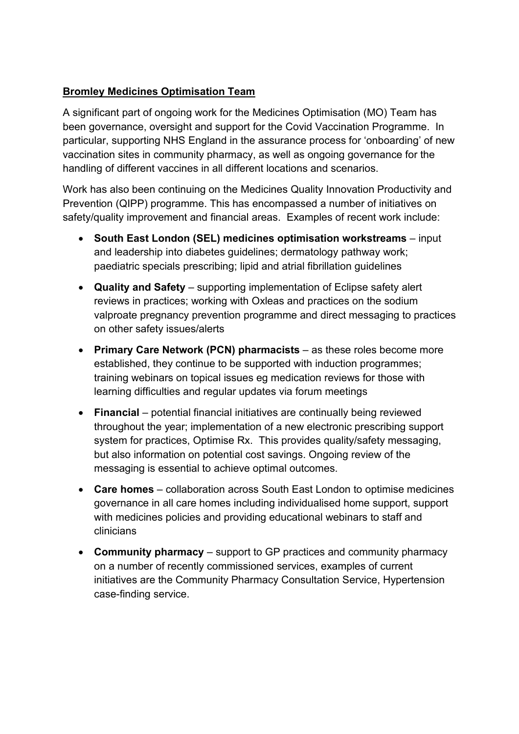## **Bromley Medicines Optimisation Team**

A significant part of ongoing work for the Medicines Optimisation (MO) Team has been governance, oversight and support for the Covid Vaccination Programme. In particular, supporting NHS England in the assurance process for 'onboarding' of new vaccination sites in community pharmacy, as well as ongoing governance for the handling of different vaccines in all different locations and scenarios.

Work has also been continuing on the Medicines Quality Innovation Productivity and Prevention (QIPP) programme. This has encompassed a number of initiatives on safety/quality improvement and financial areas. Examples of recent work include:

- **South East London (SEL) medicines optimisation workstreams** input and leadership into diabetes guidelines; dermatology pathway work; paediatric specials prescribing; lipid and atrial fibrillation guidelines
- **Quality and Safety** supporting implementation of Eclipse safety alert reviews in practices; working with Oxleas and practices on the sodium valproate pregnancy prevention programme and direct messaging to practices on other safety issues/alerts
- **Primary Care Network (PCN) pharmacists** as these roles become more established, they continue to be supported with induction programmes; training webinars on topical issues eg medication reviews for those with learning difficulties and regular updates via forum meetings
- **Financial** potential financial initiatives are continually being reviewed throughout the year; implementation of a new electronic prescribing support system for practices, Optimise Rx. This provides quality/safety messaging, but also information on potential cost savings. Ongoing review of the messaging is essential to achieve optimal outcomes.
- **Care homes** collaboration across South East London to optimise medicines governance in all care homes including individualised home support, support with medicines policies and providing educational webinars to staff and clinicians
- **Community pharmacy** support to GP practices and community pharmacy on a number of recently commissioned services, examples of current initiatives are the Community Pharmacy Consultation Service, Hypertension case-finding service.